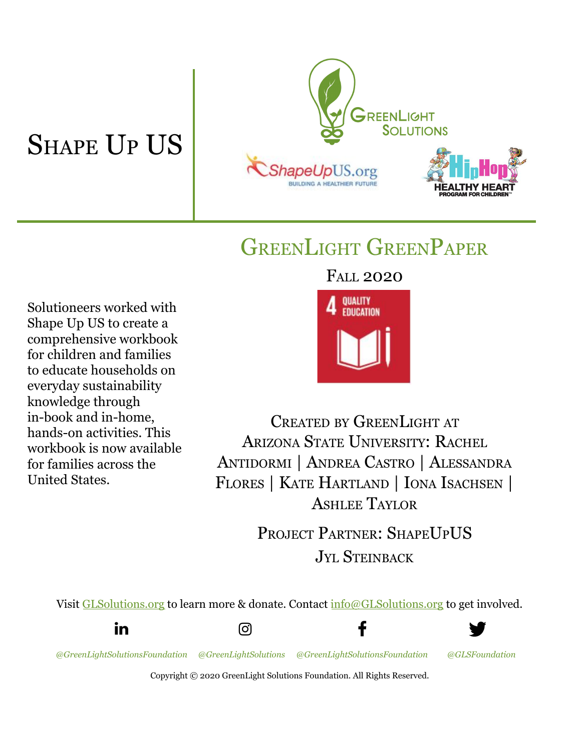# SHAPE UP US



# GREENLIGHT GREENPAPER

FALL 2020

Solutioneers worked with Shape Up US to create a comprehensive workbook for children and families to educate households on everyday sustainability knowledge through in-book and in-home, hands-on activities. This workbook is now available for families across the United States.

**QUALITY FRUCATION** 

CREATED BY GREENLIGHT AT ARIZONA STATE UNIVERSITY: RACHEL ANTIDORMI | ANDREA CASTRO | ALESSANDRA FLORES | KATE HARTLAND | IONA ISACHSEN | ASHLEE TAYLOR

> PROJECT PARTNER: SHAPE UPUS JYL STEINBACK

Visit [GLSolutions.org](https://www.glsolutions.org/) to learn more & donate. Contact [info@GLSolutions.org](mailto:info@GLSolutions.org) to get involved.



ලු

*[@GreenLightSolutionsFoundation](https://www.linkedin.com/company/10571635) [@GreenLightSolutions](https://www.instagram.com/greenlightsolutions/) [@GreenLightSolutionsFoundation](https://www.facebook.com/GreenLightSolutionsFoundation/) [@GLSFoundation](https://twitter.com/GLSFoundation)*

f



Copyright © 2020 GreenLight Solutions Foundation. All Rights Reserved.